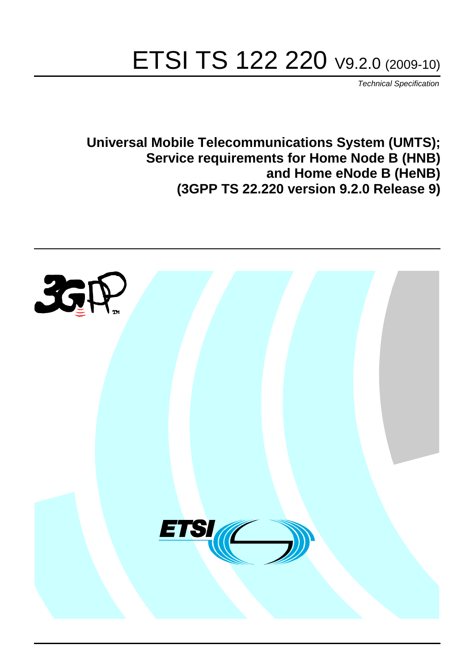# ETSI TS 122 220 V9.2.0 (2009-10)

*Technical Specification*

**Universal Mobile Telecommunications System (UMTS); Service requirements for Home Node B (HNB) and Home eNode B (HeNB) (3GPP TS 22.220 version 9.2.0 Release 9)**

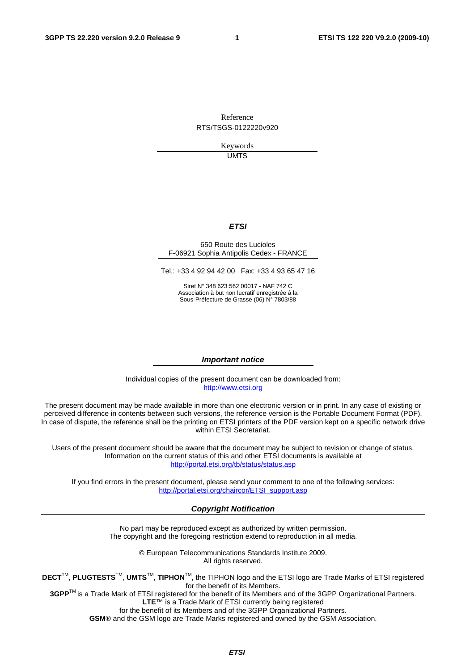Reference RTS/TSGS-0122220v920

> Keywords UMTS

#### *ETSI*

#### 650 Route des Lucioles F-06921 Sophia Antipolis Cedex - FRANCE

Tel.: +33 4 92 94 42 00 Fax: +33 4 93 65 47 16

Siret N° 348 623 562 00017 - NAF 742 C Association à but non lucratif enregistrée à la Sous-Préfecture de Grasse (06) N° 7803/88

#### *Important notice*

Individual copies of the present document can be downloaded from: [http://www.etsi.org](http://www.etsi.org/)

The present document may be made available in more than one electronic version or in print. In any case of existing or perceived difference in contents between such versions, the reference version is the Portable Document Format (PDF). In case of dispute, the reference shall be the printing on ETSI printers of the PDF version kept on a specific network drive within ETSI Secretariat.

Users of the present document should be aware that the document may be subject to revision or change of status. Information on the current status of this and other ETSI documents is available at <http://portal.etsi.org/tb/status/status.asp>

If you find errors in the present document, please send your comment to one of the following services: [http://portal.etsi.org/chaircor/ETSI\\_support.asp](http://portal.etsi.org/chaircor/ETSI_support.asp)

#### *Copyright Notification*

No part may be reproduced except as authorized by written permission. The copyright and the foregoing restriction extend to reproduction in all media.

> © European Telecommunications Standards Institute 2009. All rights reserved.

**DECT**TM, **PLUGTESTS**TM, **UMTS**TM, **TIPHON**TM, the TIPHON logo and the ETSI logo are Trade Marks of ETSI registered for the benefit of its Members.

**3GPP**TM is a Trade Mark of ETSI registered for the benefit of its Members and of the 3GPP Organizational Partners. **LTE**™ is a Trade Mark of ETSI currently being registered

for the benefit of its Members and of the 3GPP Organizational Partners.

**GSM**® and the GSM logo are Trade Marks registered and owned by the GSM Association.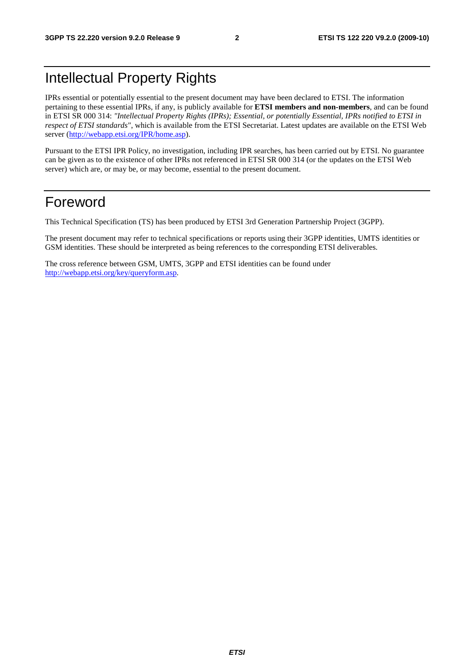## Intellectual Property Rights

IPRs essential or potentially essential to the present document may have been declared to ETSI. The information pertaining to these essential IPRs, if any, is publicly available for **ETSI members and non-members**, and can be found in ETSI SR 000 314: *"Intellectual Property Rights (IPRs); Essential, or potentially Essential, IPRs notified to ETSI in respect of ETSI standards"*, which is available from the ETSI Secretariat. Latest updates are available on the ETSI Web server [\(http://webapp.etsi.org/IPR/home.asp](http://webapp.etsi.org/IPR/home.asp)).

Pursuant to the ETSI IPR Policy, no investigation, including IPR searches, has been carried out by ETSI. No guarantee can be given as to the existence of other IPRs not referenced in ETSI SR 000 314 (or the updates on the ETSI Web server) which are, or may be, or may become, essential to the present document.

## Foreword

This Technical Specification (TS) has been produced by ETSI 3rd Generation Partnership Project (3GPP).

The present document may refer to technical specifications or reports using their 3GPP identities, UMTS identities or GSM identities. These should be interpreted as being references to the corresponding ETSI deliverables.

The cross reference between GSM, UMTS, 3GPP and ETSI identities can be found under <http://webapp.etsi.org/key/queryform.asp>.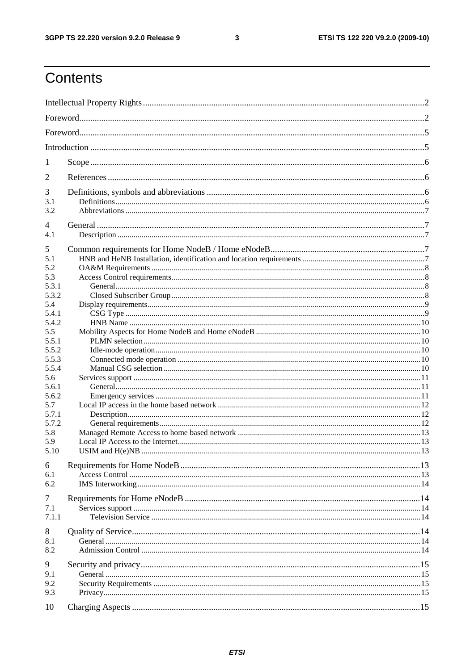#### $\mathbf{3}$

## Contents

| 1              |  |  |  |  |  |  |
|----------------|--|--|--|--|--|--|
| 2              |  |  |  |  |  |  |
| 3              |  |  |  |  |  |  |
| 3.1            |  |  |  |  |  |  |
| 3.2            |  |  |  |  |  |  |
| $\overline{4}$ |  |  |  |  |  |  |
| 4.1            |  |  |  |  |  |  |
| 5              |  |  |  |  |  |  |
| 5.1            |  |  |  |  |  |  |
| 5.2            |  |  |  |  |  |  |
| 5.3            |  |  |  |  |  |  |
| 5.3.1          |  |  |  |  |  |  |
| 5.3.2          |  |  |  |  |  |  |
| 5.4            |  |  |  |  |  |  |
| 5.4.1          |  |  |  |  |  |  |
| 5.4.2<br>5.5   |  |  |  |  |  |  |
| 5.5.1          |  |  |  |  |  |  |
| 5.5.2          |  |  |  |  |  |  |
| 5.5.3          |  |  |  |  |  |  |
| 5.5.4          |  |  |  |  |  |  |
| 5.6            |  |  |  |  |  |  |
| 5.6.1          |  |  |  |  |  |  |
| 5.6.2          |  |  |  |  |  |  |
| 5.7            |  |  |  |  |  |  |
| 5.7.1          |  |  |  |  |  |  |
| 5.7.2          |  |  |  |  |  |  |
| 5.8            |  |  |  |  |  |  |
| 5.9            |  |  |  |  |  |  |
| 5.10           |  |  |  |  |  |  |
|                |  |  |  |  |  |  |
| 6<br>6.1       |  |  |  |  |  |  |
| 6.2            |  |  |  |  |  |  |
|                |  |  |  |  |  |  |
| 7              |  |  |  |  |  |  |
| 7.1            |  |  |  |  |  |  |
| 7.1.1          |  |  |  |  |  |  |
| 8              |  |  |  |  |  |  |
| 8.1            |  |  |  |  |  |  |
| 8.2            |  |  |  |  |  |  |
|                |  |  |  |  |  |  |
| 9              |  |  |  |  |  |  |
| 9.1            |  |  |  |  |  |  |
| 9.2            |  |  |  |  |  |  |
| 9.3            |  |  |  |  |  |  |
| 10             |  |  |  |  |  |  |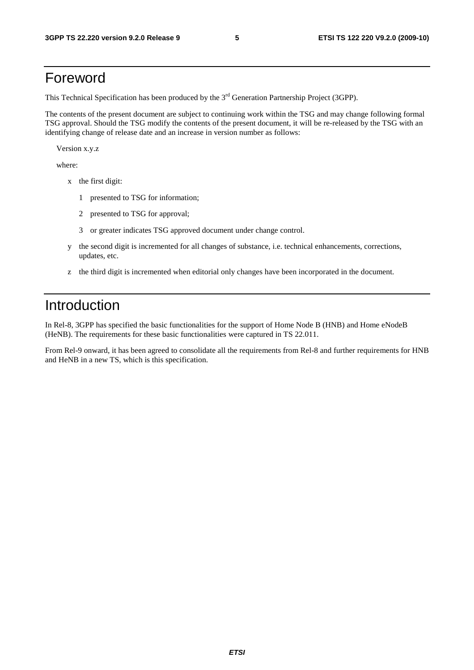## Foreword

This Technical Specification has been produced by the 3<sup>rd</sup> Generation Partnership Project (3GPP).

The contents of the present document are subject to continuing work within the TSG and may change following formal TSG approval. Should the TSG modify the contents of the present document, it will be re-released by the TSG with an identifying change of release date and an increase in version number as follows:

Version x.y.z

where:

- x the first digit:
	- 1 presented to TSG for information;
	- 2 presented to TSG for approval;
	- 3 or greater indicates TSG approved document under change control.
- y the second digit is incremented for all changes of substance, i.e. technical enhancements, corrections, updates, etc.
- z the third digit is incremented when editorial only changes have been incorporated in the document.

## Introduction

In Rel-8, 3GPP has specified the basic functionalities for the support of Home Node B (HNB) and Home eNodeB (HeNB). The requirements for these basic functionalities were captured in TS 22.011.

From Rel-9 onward, it has been agreed to consolidate all the requirements from Rel-8 and further requirements for HNB and HeNB in a new TS, which is this specification.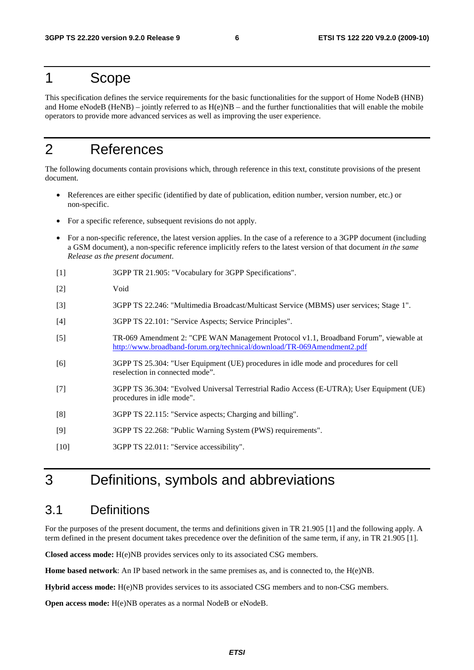### 1 Scope

This specification defines the service requirements for the basic functionalities for the support of Home NodeB (HNB) and Home eNodeB (HeNB) – jointly referred to as  $H(e)NB$  – and the further functionalities that will enable the mobile operators to provide more advanced services as well as improving the user experience.

## 2 References

The following documents contain provisions which, through reference in this text, constitute provisions of the present document.

- References are either specific (identified by date of publication, edition number, version number, etc.) or non-specific.
- For a specific reference, subsequent revisions do not apply.
- For a non-specific reference, the latest version applies. In the case of a reference to a 3GPP document (including a GSM document), a non-specific reference implicitly refers to the latest version of that document *in the same Release as the present document*.
- [1] 3GPP TR 21.905: "Vocabulary for 3GPP Specifications".
- [2] Void
- [3] 3GPP TS 22.246: "Multimedia Broadcast/Multicast Service (MBMS) user services; Stage 1".
- [4] 3GPP TS 22.101: "Service Aspects; Service Principles".
- [5] TR-069 Amendment 2: "CPE WAN Management Protocol v1.1, Broadband Forum", viewable at <http://www.broadband-forum.org/technical/download/TR-069Amendment2.pdf>
- [6] 3GPP TS 25.304: "User Equipment (UE) procedures in idle mode and procedures for cell reselection in connected mode".
- [7] 3GPP TS 36.304: "Evolved Universal Terrestrial Radio Access (E-UTRA); User Equipment (UE) procedures in idle mode".
- [8] 3GPP TS 22.115: "Service aspects; Charging and billing".
- [9] 3GPP TS 22.268: "Public Warning System (PWS) requirements".
- [10] 3GPP TS 22.011: "Service accessibility".

## 3 Definitions, symbols and abbreviations

### 3.1 Definitions

For the purposes of the present document, the terms and definitions given in TR 21.905 [1] and the following apply. A term defined in the present document takes precedence over the definition of the same term, if any, in TR 21.905 [1].

**Closed access mode:** H(e)NB provides services only to its associated CSG members.

**Home based network**: An IP based network in the same premises as, and is connected to, the H(e)NB.

**Hybrid access mode:** H(e)NB provides services to its associated CSG members and to non-CSG members.

**Open access mode:** H(e)NB operates as a normal NodeB or eNodeB.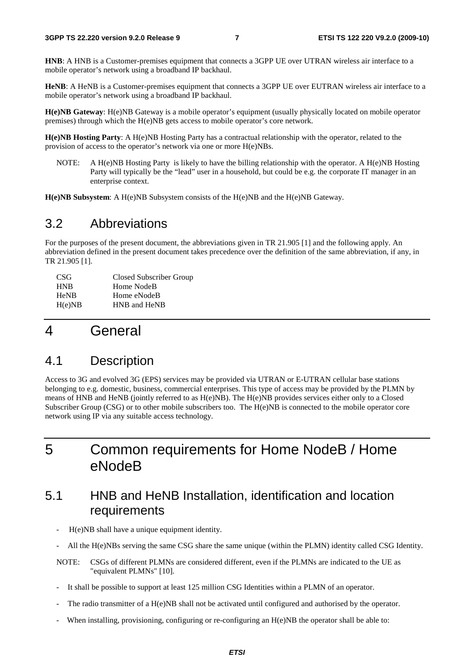**HNB**: A HNB is a Customer-premises equipment that connects a 3GPP UE over UTRAN wireless air interface to a mobile operator's network using a broadband IP backhaul.

**HeNB**: A HeNB is a Customer-premises equipment that connects a 3GPP UE over EUTRAN wireless air interface to a mobile operator's network using a broadband IP backhaul.

**H(e)NB Gateway**: H(e)NB Gateway is a mobile operator's equipment (usually physically located on mobile operator premises) through which the H(e)NB gets access to mobile operator's core network.

**H(e)NB Hosting Party**: A H(e)NB Hosting Party has a contractual relationship with the operator, related to the provision of access to the operator's network via one or more H(e)NBs.

NOTE: A H(e)NB Hosting Party is likely to have the billing relationship with the operator. A H(e)NB Hosting Party will typically be the "lead" user in a household, but could be e.g. the corporate IT manager in an enterprise context.

**H(e)NB Subsystem**: A H(e)NB Subsystem consists of the H(e)NB and the H(e)NB Gateway.

### 3.2 Abbreviations

For the purposes of the present document, the abbreviations given in TR 21.905 [1] and the following apply. An abbreviation defined in the present document takes precedence over the definition of the same abbreviation, if any, in TR 21.905 [1].

| CSG <sup>-</sup> | Closed Subscriber Group |
|------------------|-------------------------|
| <b>HNB</b>       | Home NodeB              |
| <b>HeNB</b>      | Home eNodeB             |
| H(e)NB           | HNB and HeNB            |

## 4 General

### 4.1 Description

Access to 3G and evolved 3G (EPS) services may be provided via UTRAN or E-UTRAN cellular base stations belonging to e.g. domestic, business, commercial enterprises. This type of access may be provided by the PLMN by means of HNB and HeNB (jointly referred to as H(e)NB). The H(e)NB provides services either only to a Closed Subscriber Group (CSG) or to other mobile subscribers too. The H(e)NB is connected to the mobile operator core network using IP via any suitable access technology.

## 5 Common requirements for Home NodeB / Home eNodeB

## 5.1 HNB and HeNB Installation, identification and location requirements

- H(e)NB shall have a unique equipment identity.
- All the H(e)NBs serving the same CSG share the same unique (within the PLMN) identity called CSG Identity.
- NOTE: CSGs of different PLMNs are considered different, even if the PLMNs are indicated to the UE as "equivalent PLMNs" [10].
- It shall be possible to support at least 125 million CSG Identities within a PLMN of an operator.
- The radio transmitter of a H(e)NB shall not be activated until configured and authorised by the operator.
- When installing, provisioning, configuring or re-configuring an H(e)NB the operator shall be able to: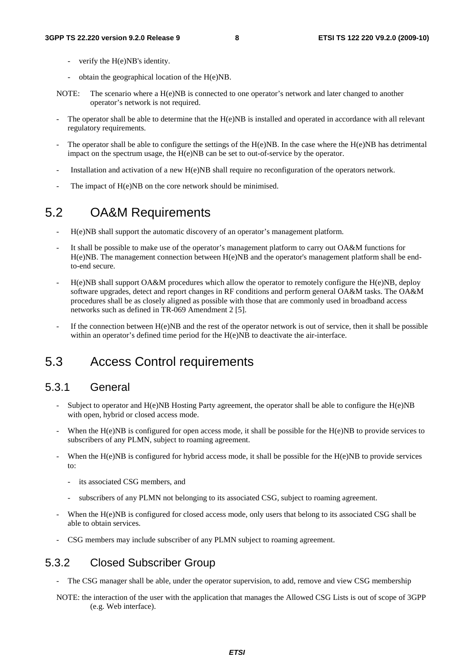- verify the H(e)NB's identity.
- obtain the geographical location of the H(e)NB.
- NOTE: The scenario where a H(e)NB is connected to one operator's network and later changed to another operator's network is not required.
- The operator shall be able to determine that the  $H(e)NB$  is installed and operated in accordance with all relevant regulatory requirements.
- The operator shall be able to configure the settings of the  $H(e)NB$ . In the case where the  $H(e)NB$  has detrimental impact on the spectrum usage, the H(e)NB can be set to out-of-service by the operator.
- Installation and activation of a new H(e)NB shall require no reconfiguration of the operators network.
- The impact of H(e)NB on the core network should be minimised.

### 5.2 OA&M Requirements

- H(e)NB shall support the automatic discovery of an operator's management platform.
- It shall be possible to make use of the operator's management platform to carry out OA&M functions for H(e)NB. The management connection between H(e)NB and the operator's management platform shall be endto-end secure.
- H(e)NB shall support OA&M procedures which allow the operator to remotely configure the H(e)NB, deploy software upgrades, detect and report changes in RF conditions and perform general OA&M tasks. The OA&M procedures shall be as closely aligned as possible with those that are commonly used in broadband access networks such as defined in TR-069 Amendment 2 [5].
- If the connection between  $H(e)NB$  and the rest of the operator network is out of service, then it shall be possible within an operator's defined time period for the  $H(e)$ NB to deactivate the air-interface.

### 5.3 Access Control requirements

#### 5.3.1 General

- Subject to operator and  $H(e)NB$  Hosting Party agreement, the operator shall be able to configure the  $H(e)NB$ with open, hybrid or closed access mode.
- When the H(e)NB is configured for open access mode, it shall be possible for the H(e)NB to provide services to subscribers of any PLMN, subject to roaming agreement.
- When the  $H(e)NB$  is configured for hybrid access mode, it shall be possible for the  $H(e)NB$  to provide services to:
	- its associated CSG members, and
	- subscribers of any PLMN not belonging to its associated CSG, subject to roaming agreement.
- When the H(e)NB is configured for closed access mode, only users that belong to its associated CSG shall be able to obtain services.
- CSG members may include subscriber of any PLMN subject to roaming agreement.

#### 5.3.2 Closed Subscriber Group

- The CSG manager shall be able, under the operator supervision, to add, remove and view CSG membership
- NOTE: the interaction of the user with the application that manages the Allowed CSG Lists is out of scope of 3GPP (e.g. Web interface).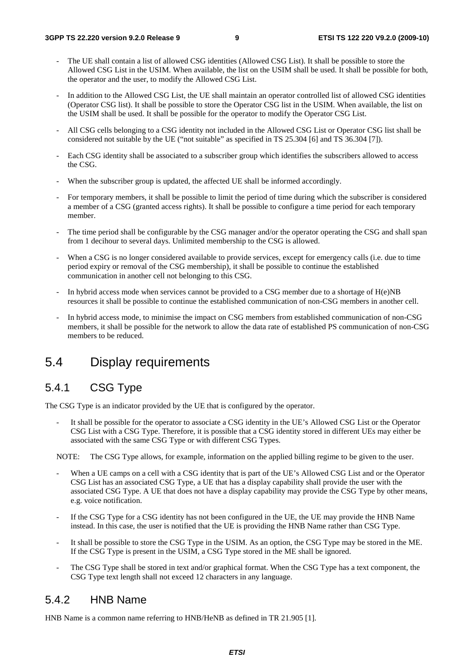- The UE shall contain a list of allowed CSG identities (Allowed CSG List). It shall be possible to store the Allowed CSG List in the USIM. When available, the list on the USIM shall be used. It shall be possible for both, the operator and the user, to modify the Allowed CSG List.
- In addition to the Allowed CSG List, the UE shall maintain an operator controlled list of allowed CSG identities (Operator CSG list). It shall be possible to store the Operator CSG list in the USIM. When available, the list on the USIM shall be used. It shall be possible for the operator to modify the Operator CSG List.
- All CSG cells belonging to a CSG identity not included in the Allowed CSG List or Operator CSG list shall be considered not suitable by the UE ("not suitable" as specified in TS 25.304 [6] and TS 36.304 [7]).
- Each CSG identity shall be associated to a subscriber group which identifies the subscribers allowed to access the CSG.
- When the subscriber group is updated, the affected UE shall be informed accordingly.
- For temporary members, it shall be possible to limit the period of time during which the subscriber is considered a member of a CSG (granted access rights). It shall be possible to configure a time period for each temporary member.
- The time period shall be configurable by the CSG manager and/or the operator operating the CSG and shall span from 1 decihour to several days. Unlimited membership to the CSG is allowed.
- When a CSG is no longer considered available to provide services, except for emergency calls (i.e. due to time period expiry or removal of the CSG membership), it shall be possible to continue the established communication in another cell not belonging to this CSG.
- In hybrid access mode when services cannot be provided to a CSG member due to a shortage of  $H(e)NB$ resources it shall be possible to continue the established communication of non-CSG members in another cell.
- In hybrid access mode, to minimise the impact on CSG members from established communication of non-CSG members, it shall be possible for the network to allow the data rate of established PS communication of non-CSG members to be reduced.

### 5.4 Display requirements

### 5.4.1 CSG Type

The CSG Type is an indicator provided by the UE that is configured by the operator.

It shall be possible for the operator to associate a CSG identity in the UE's Allowed CSG List or the Operator CSG List with a CSG Type. Therefore, it is possible that a CSG identity stored in different UEs may either be associated with the same CSG Type or with different CSG Types.

NOTE: The CSG Type allows, for example, information on the applied billing regime to be given to the user.

- When a UE camps on a cell with a CSG identity that is part of the UE's Allowed CSG List and or the Operator CSG List has an associated CSG Type, a UE that has a display capability shall provide the user with the associated CSG Type. A UE that does not have a display capability may provide the CSG Type by other means, e.g. voice notification.
- If the CSG Type for a CSG identity has not been configured in the UE, the UE may provide the HNB Name instead. In this case, the user is notified that the UE is providing the HNB Name rather than CSG Type.
- It shall be possible to store the CSG Type in the USIM. As an option, the CSG Type may be stored in the ME. If the CSG Type is present in the USIM, a CSG Type stored in the ME shall be ignored.
- The CSG Type shall be stored in text and/or graphical format. When the CSG Type has a text component, the CSG Type text length shall not exceed 12 characters in any language.

#### 5.4.2 HNB Name

HNB Name is a common name referring to HNB/HeNB as defined in TR 21.905 [1].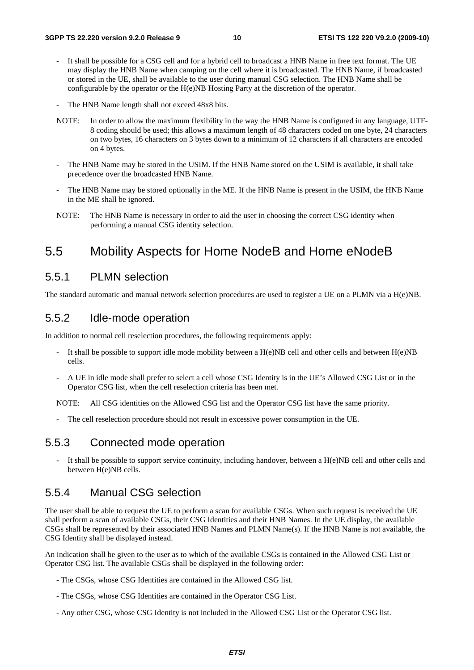- It shall be possible for a CSG cell and for a hybrid cell to broadcast a HNB Name in free text format. The UE may display the HNB Name when camping on the cell where it is broadcasted. The HNB Name, if broadcasted or stored in the UE, shall be available to the user during manual CSG selection. The HNB Name shall be configurable by the operator or the H(e)NB Hosting Party at the discretion of the operator.
- The HNB Name length shall not exceed 48x8 bits.
- NOTE: In order to allow the maximum flexibility in the way the HNB Name is configured in any language, UTF-8 coding should be used; this allows a maximum length of 48 characters coded on one byte, 24 characters on two bytes, 16 characters on 3 bytes down to a minimum of 12 characters if all characters are encoded on 4 bytes.
- The HNB Name may be stored in the USIM. If the HNB Name stored on the USIM is available, it shall take precedence over the broadcasted HNB Name.
- The HNB Name may be stored optionally in the ME. If the HNB Name is present in the USIM, the HNB Name in the ME shall be ignored.
- NOTE: The HNB Name is necessary in order to aid the user in choosing the correct CSG identity when performing a manual CSG identity selection.

### 5.5 Mobility Aspects for Home NodeB and Home eNodeB

### 5.5.1 PLMN selection

The standard automatic and manual network selection procedures are used to register a UE on a PLMN via a H(e)NB.

#### 5.5.2 Idle-mode operation

In addition to normal cell reselection procedures, the following requirements apply:

- It shall be possible to support idle mode mobility between a H(e)NB cell and other cells and between H(e)NB cells.
- A UE in idle mode shall prefer to select a cell whose CSG Identity is in the UE's Allowed CSG List or in the Operator CSG list, when the cell reselection criteria has been met.

NOTE: All CSG identities on the Allowed CSG list and the Operator CSG list have the same priority.

The cell reselection procedure should not result in excessive power consumption in the UE.

#### 5.5.3 Connected mode operation

It shall be possible to support service continuity, including handover, between a H(e)NB cell and other cells and between H(e)NB cells.

### 5.5.4 Manual CSG selection

The user shall be able to request the UE to perform a scan for available CSGs. When such request is received the UE shall perform a scan of available CSGs, their CSG Identities and their HNB Names. In the UE display, the available CSGs shall be represented by their associated HNB Names and PLMN Name(s). If the HNB Name is not available, the CSG Identity shall be displayed instead.

An indication shall be given to the user as to which of the available CSGs is contained in the Allowed CSG List or Operator CSG list. The available CSGs shall be displayed in the following order:

- The CSGs, whose CSG Identities are contained in the Allowed CSG list.
- The CSGs, whose CSG Identities are contained in the Operator CSG List.
- Any other CSG, whose CSG Identity is not included in the Allowed CSG List or the Operator CSG list.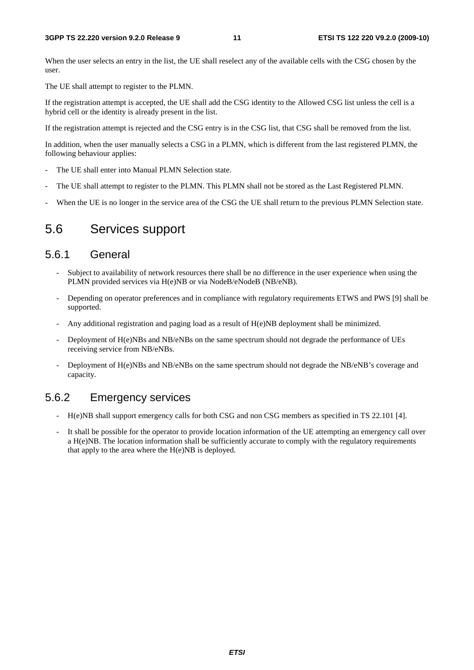When the user selects an entry in the list, the UE shall reselect any of the available cells with the CSG chosen by the user.

The UE shall attempt to register to the PLMN.

If the registration attempt is accepted, the UE shall add the CSG identity to the Allowed CSG list unless the cell is a hybrid cell or the identity is already present in the list.

If the registration attempt is rejected and the CSG entry is in the CSG list, that CSG shall be removed from the list.

In addition, when the user manually selects a CSG in a PLMN, which is different from the last registered PLMN, the following behaviour applies:

- The UE shall enter into Manual PLMN Selection state.
- The UE shall attempt to register to the PLMN. This PLMN shall not be stored as the Last Registered PLMN.
- When the UE is no longer in the service area of the CSG the UE shall return to the previous PLMN Selection state.

### 5.6 Services support

#### 5.6.1 General

- Subject to availability of network resources there shall be no difference in the user experience when using the PLMN provided services via H(e)NB or via NodeB/eNodeB (NB/eNB).
- Depending on operator preferences and in compliance with regulatory requirements ETWS and PWS [9] shall be supported.
- Any additional registration and paging load as a result of  $H(e)NB$  deployment shall be minimized.
- Deployment of H(e)NBs and NB/eNBs on the same spectrum should not degrade the performance of UEs receiving service from NB/eNBs.
- Deployment of H(e)NBs and NB/eNBs on the same spectrum should not degrade the NB/eNB's coverage and capacity.

### 5.6.2 Emergency services

- H(e)NB shall support emergency calls for both CSG and non CSG members as specified in TS 22.101 [4].
- It shall be possible for the operator to provide location information of the UE attempting an emergency call over a H(e)NB. The location information shall be sufficiently accurate to comply with the regulatory requirements that apply to the area where the  $H(e)NB$  is deployed.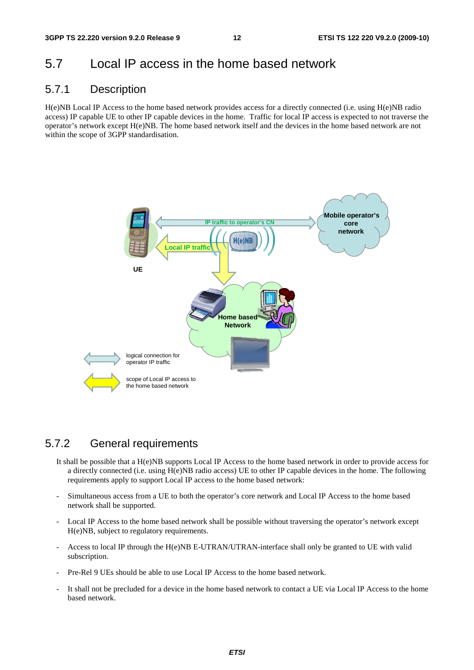### 5.7 Local IP access in the home based network

### 5.7.1 Description

H(e)NB Local IP Access to the home based network provides access for a directly connected (i.e. using H(e)NB radio access) IP capable UE to other IP capable devices in the home. Traffic for local IP access is expected to not traverse the operator's network except H(e)NB. The home based network itself and the devices in the home based network are not within the scope of 3GPP standardisation.



### 5.7.2 General requirements

- It shall be possible that a H(e)NB supports Local IP Access to the home based network in order to provide access for a directly connected (i.e. using H(e)NB radio access) UE to other IP capable devices in the home. The following requirements apply to support Local IP access to the home based network:
- Simultaneous access from a UE to both the operator's core network and Local IP Access to the home based network shall be supported.
- Local IP Access to the home based network shall be possible without traversing the operator's network except H(e)NB, subject to regulatory requirements.
- Access to local IP through the H(e)NB E-UTRAN/UTRAN-interface shall only be granted to UE with valid subscription.
- Pre-Rel 9 UEs should be able to use Local IP Access to the home based network.
- It shall not be precluded for a device in the home based network to contact a UE via Local IP Access to the home based network.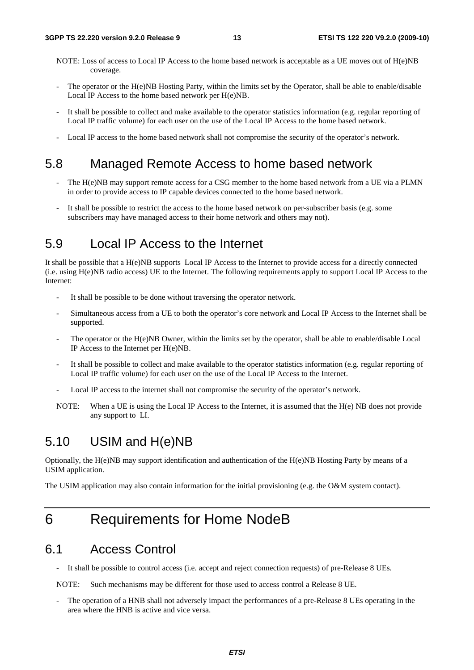- NOTE: Loss of access to Local IP Access to the home based network is acceptable as a UE moves out of H(e)NB coverage.
- The operator or the H(e)NB Hosting Party, within the limits set by the Operator, shall be able to enable/disable Local IP Access to the home based network per H(e)NB.
- It shall be possible to collect and make available to the operator statistics information (e.g. regular reporting of Local IP traffic volume) for each user on the use of the Local IP Access to the home based network.
- Local IP access to the home based network shall not compromise the security of the operator's network.

### 5.8 Managed Remote Access to home based network

- The H(e)NB may support remote access for a CSG member to the home based network from a UE via a PLMN in order to provide access to IP capable devices connected to the home based network.
- It shall be possible to restrict the access to the home based network on per-subscriber basis (e.g. some subscribers may have managed access to their home network and others may not).

### 5.9 Local IP Access to the Internet

It shall be possible that a H(e)NB supports Local IP Access to the Internet to provide access for a directly connected (i.e. using H(e)NB radio access) UE to the Internet. The following requirements apply to support Local IP Access to the Internet:

- It shall be possible to be done without traversing the operator network.
- Simultaneous access from a UE to both the operator's core network and Local IP Access to the Internet shall be supported.
- The operator or the H(e)NB Owner, within the limits set by the operator, shall be able to enable/disable Local IP Access to the Internet per H(e)NB.
- It shall be possible to collect and make available to the operator statistics information (e.g. regular reporting of Local IP traffic volume) for each user on the use of the Local IP Access to the Internet.
- Local IP access to the internet shall not compromise the security of the operator's network.
- NOTE: When a UE is using the Local IP Access to the Internet, it is assumed that the H(e) NB does not provide any support to LI.

## 5.10 USIM and H(e)NB

Optionally, the H(e)NB may support identification and authentication of the H(e)NB Hosting Party by means of a USIM application.

The USIM application may also contain information for the initial provisioning (e.g. the O&M system contact).

## 6 Requirements for Home NodeB

### 6.1 Access Control

It shall be possible to control access (i.e. accept and reject connection requests) of pre-Release 8 UEs.

NOTE: Such mechanisms may be different for those used to access control a Release 8 UE.

The operation of a HNB shall not adversely impact the performances of a pre-Release 8 UEs operating in the area where the HNB is active and vice versa.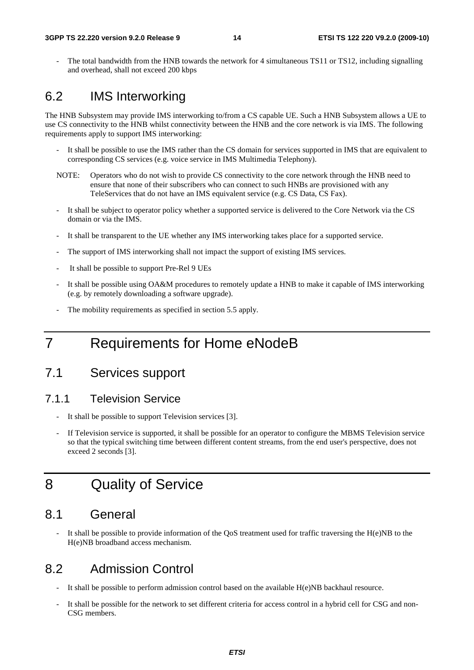The total bandwidth from the HNB towards the network for 4 simultaneous TS11 or TS12, including signalling and overhead, shall not exceed 200 kbps

### 6.2 IMS Interworking

The HNB Subsystem may provide IMS interworking to/from a CS capable UE. Such a HNB Subsystem allows a UE to use CS connectivity to the HNB whilst connectivity between the HNB and the core network is via IMS. The following requirements apply to support IMS interworking:

- It shall be possible to use the IMS rather than the CS domain for services supported in IMS that are equivalent to corresponding CS services (e.g. voice service in IMS Multimedia Telephony).
- NOTE: Operators who do not wish to provide CS connectivity to the core network through the HNB need to ensure that none of their subscribers who can connect to such HNBs are provisioned with any TeleServices that do not have an IMS equivalent service (e.g. CS Data, CS Fax).
- It shall be subject to operator policy whether a supported service is delivered to the Core Network via the CS domain or via the IMS.
- It shall be transparent to the UE whether any IMS interworking takes place for a supported service.
- The support of IMS interworking shall not impact the support of existing IMS services.
- It shall be possible to support Pre-Rel 9 UEs
- It shall be possible using OA&M procedures to remotely update a HNB to make it capable of IMS interworking (e.g. by remotely downloading a software upgrade).
- The mobility requirements as specified in section 5.5 apply.

## 7 Requirements for Home eNodeB

### 7.1 Services support

#### 7.1.1 Television Service

- It shall be possible to support Television services [3].
- If Television service is supported, it shall be possible for an operator to configure the MBMS Television service so that the typical switching time between different content streams, from the end user's perspective, does not exceed 2 seconds [3].

## 8 Quality of Service

### 8.1 General

It shall be possible to provide information of the  $\overline{QoS}$  treatment used for traffic traversing the H(e)NB to the H(e)NB broadband access mechanism.

### 8.2 Admission Control

- It shall be possible to perform admission control based on the available H(e)NB backhaul resource.
- It shall be possible for the network to set different criteria for access control in a hybrid cell for CSG and non-CSG members.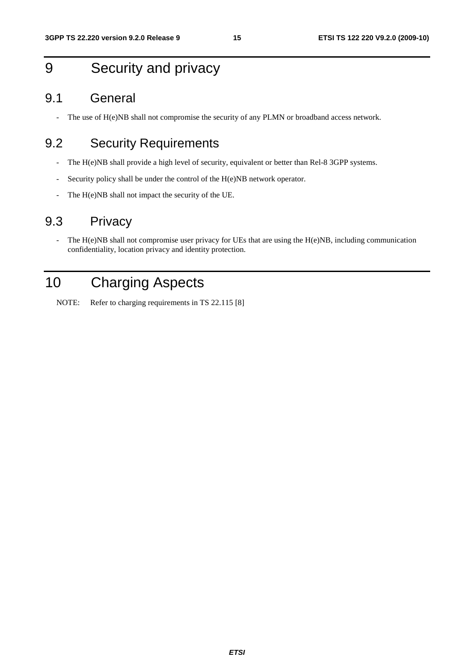## 9 Security and privacy

### 9.1 General

- The use of H(e)NB shall not compromise the security of any PLMN or broadband access network.

## 9.2 Security Requirements

- The H(e)NB shall provide a high level of security, equivalent or better than Rel-8 3GPP systems.
- Security policy shall be under the control of the H(e)NB network operator.
- The H(e)NB shall not impact the security of the UE.

### 9.3 Privacy

- The H(e)NB shall not compromise user privacy for UEs that are using the H(e)NB, including communication confidentiality, location privacy and identity protection.

## 10 Charging Aspects

NOTE: Refer to charging requirements in TS 22.115 [8]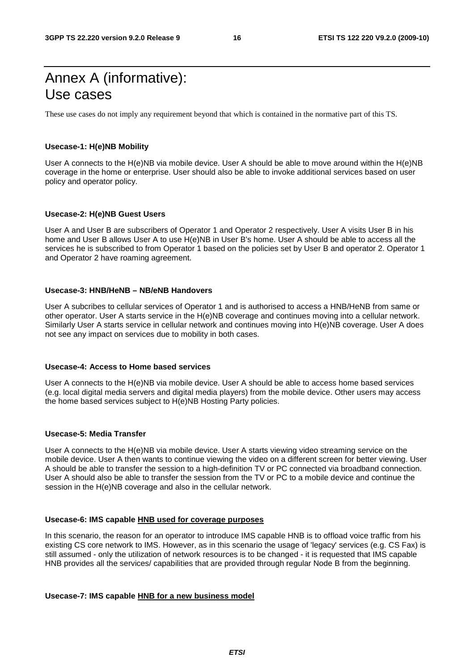## Annex A (informative): Use cases

These use cases do not imply any requirement beyond that which is contained in the normative part of this TS.

#### **Usecase-1: H(e)NB Mobility**

User A connects to the H(e)NB via mobile device. User A should be able to move around within the H(e)NB coverage in the home or enterprise. User should also be able to invoke additional services based on user policy and operator policy.

#### **Usecase-2: H(e)NB Guest Users**

User A and User B are subscribers of Operator 1 and Operator 2 respectively. User A visits User B in his home and User B allows User A to use H(e)NB in User B's home. User A should be able to access all the services he is subscribed to from Operator 1 based on the policies set by User B and operator 2. Operator 1 and Operator 2 have roaming agreement.

#### **Usecase-3: HNB/HeNB – NB/eNB Handovers**

User A subcribes to cellular services of Operator 1 and is authorised to access a HNB/HeNB from same or other operator. User A starts service in the H(e)NB coverage and continues moving into a cellular network. Similarly User A starts service in cellular network and continues moving into H(e)NB coverage. User A does not see any impact on services due to mobility in both cases.

#### **Usecase-4: Access to Home based services**

User A connects to the H(e)NB via mobile device. User A should be able to access home based services (e.g. local digital media servers and digital media players) from the mobile device. Other users may access the home based services subject to H(e)NB Hosting Party policies.

#### **Usecase-5: Media Transfer**

User A connects to the H(e)NB via mobile device. User A starts viewing video streaming service on the mobile device. User A then wants to continue viewing the video on a different screen for better viewing. User A should be able to transfer the session to a high-definition TV or PC connected via broadband connection. User A should also be able to transfer the session from the TV or PC to a mobile device and continue the session in the H(e)NB coverage and also in the cellular network.

#### **Usecase-6: IMS capable HNB used for coverage purposes**

In this scenario, the reason for an operator to introduce IMS capable HNB is to offload voice traffic from his existing CS core network to IMS. However, as in this scenario the usage of 'legacy' services (e.g. CS Fax) is still assumed - only the utilization of network resources is to be changed - it is requested that IMS capable HNB provides all the services/ capabilities that are provided through regular Node B from the beginning.

#### **Usecase-7: IMS capable HNB for a new business model**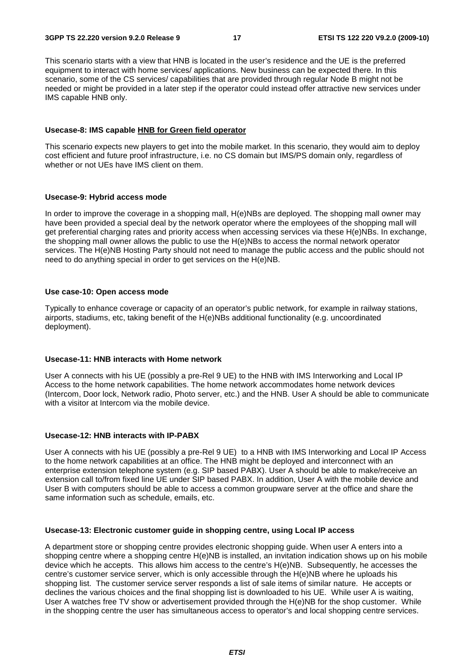This scenario starts with a view that HNB is located in the user's residence and the UE is the preferred equipment to interact with home services/ applications. New business can be expected there. In this scenario, some of the CS services/ capabilities that are provided through regular Node B might not be needed or might be provided in a later step if the operator could instead offer attractive new services under IMS capable HNB only.

#### **Usecase-8: IMS capable HNB for Green field operator**

This scenario expects new players to get into the mobile market. In this scenario, they would aim to deploy cost efficient and future proof infrastructure, i.e. no CS domain but IMS/PS domain only, regardless of whether or not UEs have IMS client on them.

#### **Usecase-9: Hybrid access mode**

In order to improve the coverage in a shopping mall, H(e)NBs are deployed. The shopping mall owner may have been provided a special deal by the network operator where the employees of the shopping mall will get preferential charging rates and priority access when accessing services via these H(e)NBs. In exchange, the shopping mall owner allows the public to use the H(e)NBs to access the normal network operator services. The H(e)NB Hosting Party should not need to manage the public access and the public should not need to do anything special in order to get services on the H(e)NB.

#### **Use case-10: Open access mode**

Typically to enhance coverage or capacity of an operator's public network, for example in railway stations, airports, stadiums, etc, taking benefit of the H(e)NBs additional functionality (e.g. uncoordinated deployment).

#### **Usecase-11: HNB interacts with Home network**

User A connects with his UE (possibly a pre-Rel 9 UE) to the HNB with IMS Interworking and Local IP Access to the home network capabilities. The home network accommodates home network devices (Intercom, Door lock, Network radio, Photo server, etc.) and the HNB. User A should be able to communicate with a visitor at Intercom via the mobile device.

#### **Usecase-12: HNB interacts with IP-PABX**

User A connects with his UE (possibly a pre-Rel 9 UE) to a HNB with IMS Interworking and Local IP Access to the home network capabilities at an office. The HNB might be deployed and interconnect with an enterprise extension telephone system (e.g. SIP based PABX). User A should be able to make/receive an extension call to/from fixed line UE under SIP based PABX. In addition, User A with the mobile device and User B with computers should be able to access a common groupware server at the office and share the same information such as schedule, emails, etc.

#### **Usecase-13: Electronic customer guide in shopping centre, using Local IP access**

A department store or shopping centre provides electronic shopping guide. When user A enters into a shopping centre where a shopping centre H(e)NB is installed, an invitation indication shows up on his mobile device which he accepts. This allows him access to the centre's H(e)NB. Subsequently, he accesses the centre's customer service server, which is only accessible through the H(e)NB where he uploads his shopping list. The customer service server responds a list of sale items of similar nature. He accepts or declines the various choices and the final shopping list is downloaded to his UE. While user A is waiting, User A watches free TV show or advertisement provided through the H(e)NB for the shop customer. While in the shopping centre the user has simultaneous access to operator's and local shopping centre services.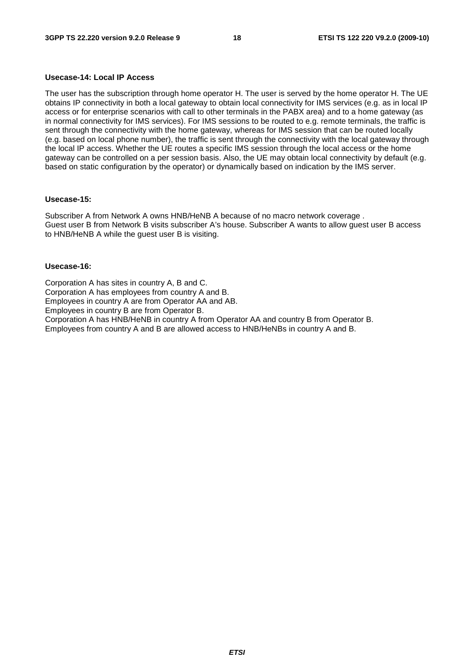#### **Usecase-14: Local IP Access**

The user has the subscription through home operator H. The user is served by the home operator H. The UE obtains IP connectivity in both a local gateway to obtain local connectivity for IMS services (e.g. as in local IP access or for enterprise scenarios with call to other terminals in the PABX area) and to a home gateway (as in normal connectivity for IMS services). For IMS sessions to be routed to e.g. remote terminals, the traffic is sent through the connectivity with the home gateway, whereas for IMS session that can be routed locally (e.g. based on local phone number), the traffic is sent through the connectivity with the local gateway through the local IP access. Whether the UE routes a specific IMS session through the local access or the home gateway can be controlled on a per session basis. Also, the UE may obtain local connectivity by default (e.g. based on static configuration by the operator) or dynamically based on indication by the IMS server.

#### **Usecase-15:**

Subscriber A from Network A owns HNB/HeNB A because of no macro network coverage . Guest user B from Network B visits subscriber A's house. Subscriber A wants to allow guest user B access to HNB/HeNB A while the guest user B is visiting.

#### **Usecase-16:**

Corporation A has sites in country A, B and C. Corporation A has employees from country A and B. Employees in country A are from Operator AA and AB. Employees in country B are from Operator B. Corporation A has HNB/HeNB in country A from Operator AA and country B from Operator B. Employees from country A and B are allowed access to HNB/HeNBs in country A and B.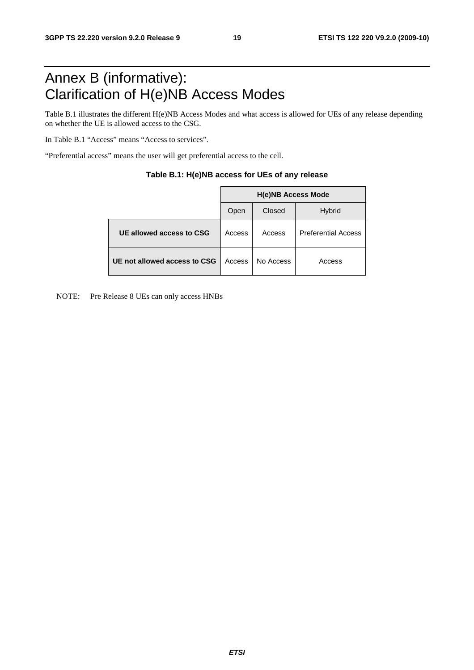## Annex B (informative): Clarification of H(e)NB Access Modes

Table B.1 illustrates the different H(e)NB Access Modes and what access is allowed for UEs of any release depending on whether the UE is allowed access to the CSG.

In Table B.1 "Access" means "Access to services".

"Preferential access" means the user will get preferential access to the cell.

|                              | <b>H(e)NB Access Mode</b> |           |                            |  |  |
|------------------------------|---------------------------|-----------|----------------------------|--|--|
|                              | Open                      | Closed    | <b>Hybrid</b>              |  |  |
| UE allowed access to CSG     | Access                    | Access    | <b>Preferential Access</b> |  |  |
| UE not allowed access to CSG | Access                    | No Access | Access                     |  |  |

| Table B.1: H(e)NB access for UEs of any release |  |  |  |
|-------------------------------------------------|--|--|--|
|-------------------------------------------------|--|--|--|

NOTE: Pre Release 8 UEs can only access HNBs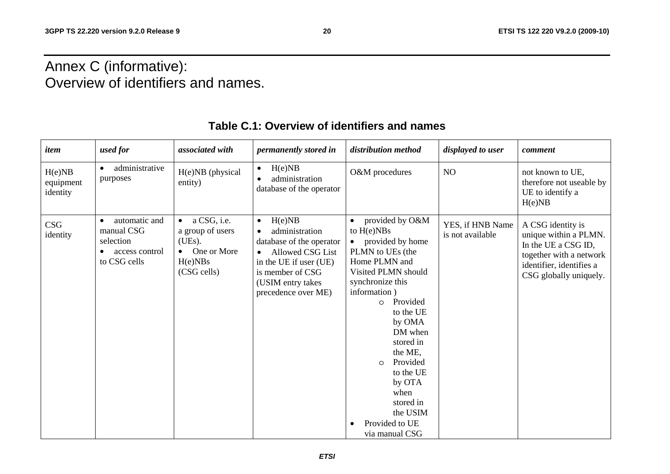## Annex C (informative): Overview of identifiers and names.

| item                            | used for                                                                                | associated with                                                                                | permanently stored in                                                                                                                                                                               | distribution method                                                                                                                                                                                                                                                                                                                                     | displayed to user                    | comment                                                                                                                                            |
|---------------------------------|-----------------------------------------------------------------------------------------|------------------------------------------------------------------------------------------------|-----------------------------------------------------------------------------------------------------------------------------------------------------------------------------------------------------|---------------------------------------------------------------------------------------------------------------------------------------------------------------------------------------------------------------------------------------------------------------------------------------------------------------------------------------------------------|--------------------------------------|----------------------------------------------------------------------------------------------------------------------------------------------------|
| H(e)NB<br>equipment<br>identity | administrative<br>purposes                                                              | H(e)NB (physical<br>entity)                                                                    | H(e)NB<br>$\bullet$<br>administration<br>database of the operator                                                                                                                                   | O&M procedures                                                                                                                                                                                                                                                                                                                                          | NO                                   | not known to UE,<br>therefore not useable by<br>UE to identify a<br>H(e)NB                                                                         |
| CSG<br>identity                 | automatic and<br>$\bullet$<br>manual CSG<br>selection<br>access control<br>to CSG cells | $\bullet$ a CSG, i.e.<br>a group of users<br>(UEs).<br>• One or More<br>H(e)NBs<br>(CSG cells) | H(e)NB<br>$\bullet$<br>administration<br>database of the operator<br><b>Allowed CSG List</b><br>$\bullet$<br>in the UE if user (UE)<br>is member of CSG<br>(USIM entry takes<br>precedence over ME) | provided by O&M<br>to $H(e)NBs$<br>provided by home<br>PLMN to UEs (the<br>Home PLMN and<br>Visited PLMN should<br>synchronize this<br>information)<br>Provided<br>$\circ$<br>to the UE<br>by OMA<br>DM when<br>stored in<br>the ME,<br>Provided<br>$\circ$<br>to the UE<br>by OTA<br>when<br>stored in<br>the USIM<br>Provided to UE<br>via manual CSG | YES, if HNB Name<br>is not available | A CSG identity is<br>unique within a PLMN.<br>In the UE a CSG ID,<br>together with a network<br>identifier, identifies a<br>CSG globally uniquely. |

### **Table C.1: Overview of identifiers and names**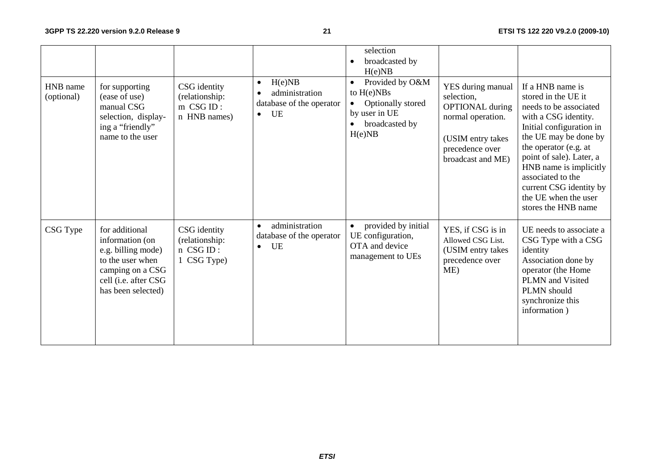|                        |                                                                                                                                               |                                                             |                                                                                      | selection<br>broadcasted by<br>H(e)NB                                                                                       |                                                                                                                                             |                                                                                                                                                                                                                                                                                                                              |
|------------------------|-----------------------------------------------------------------------------------------------------------------------------------------------|-------------------------------------------------------------|--------------------------------------------------------------------------------------|-----------------------------------------------------------------------------------------------------------------------------|---------------------------------------------------------------------------------------------------------------------------------------------|------------------------------------------------------------------------------------------------------------------------------------------------------------------------------------------------------------------------------------------------------------------------------------------------------------------------------|
| HNB name<br>(optional) | for supporting<br>(ease of use)<br>manual CSG<br>selection, display-<br>ing a "friendly"<br>name to the user                                  | CSG identity<br>(relationship:<br>m CSG ID:<br>n HNB names) | H(e)NB<br>$\bullet$<br>administration<br>database of the operator<br>UE<br>$\bullet$ | Provided by O&M<br>$\bullet$<br>to $H(e)NBs$<br>Optionally stored<br>$\bullet$<br>by user in UE<br>broadcasted by<br>H(e)NB | YES during manual<br>selection,<br><b>OPTIONAL</b> during<br>normal operation.<br>(USIM entry takes<br>precedence over<br>broadcast and ME) | If a HNB name is<br>stored in the UE it<br>needs to be associated<br>with a CSG identity.<br>Initial configuration in<br>the UE may be done by<br>the operator (e.g. at<br>point of sale). Later, a<br>HNB name is implicitly<br>associated to the<br>current CSG identity by<br>the UE when the user<br>stores the HNB name |
| CSG Type               | for additional<br>information (on<br>e.g. billing mode)<br>to the user when<br>camping on a CSG<br>cell (i.e. after CSG<br>has been selected) | CSG identity<br>(relationship:<br>n CSGID:<br>1 CSG Type)   | administration<br>$\bullet$<br>database of the operator<br><b>UE</b><br>$\bullet$    | provided by initial<br>$\bullet$<br>UE configuration,<br>OTA and device<br>management to UEs                                | YES, if CSG is in<br>Allowed CSG List.<br>(USIM entry takes<br>precedence over<br>ME)                                                       | UE needs to associate a<br>CSG Type with a CSG<br>identity<br>Association done by<br>operator (the Home<br>PLMN and Visited<br>PLMN should<br>synchronize this<br>information)                                                                                                                                               |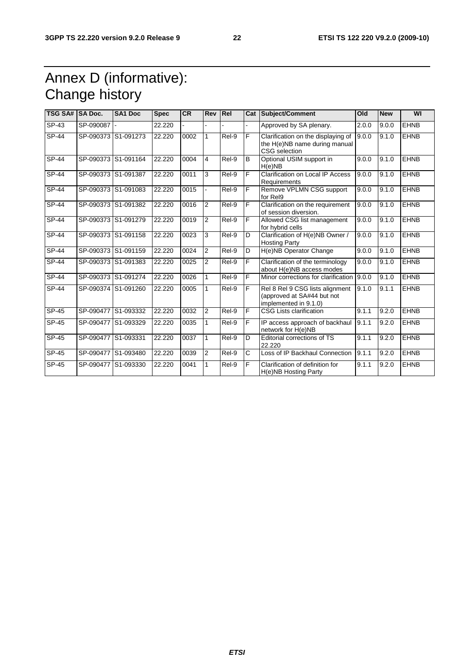## Annex D (informative): Change history

| TSG SA# SA Doc. |           | <b>SA1 Doc</b>      | <b>Spec</b> | <b>CR</b> | Rev            | Rel   |    | Cat Subject/Comment                                                                    | Old   | <b>New</b> | WI          |
|-----------------|-----------|---------------------|-------------|-----------|----------------|-------|----|----------------------------------------------------------------------------------------|-------|------------|-------------|
| $SP-43$         | SP-090087 |                     | 22.220      |           |                |       |    | Approved by SA plenary.                                                                | 2.0.0 | 9.0.0      | <b>EHNB</b> |
| <b>SP-44</b>    |           | SP-090373 S1-091273 | 22.220      | 0002      | 1              | Rel-9 | F  | Clarification on the displaying of<br>the H(e)NB name during manual<br>CSG selection   | 9.0.0 | 9.1.0      | <b>EHNB</b> |
| SP-44           | SP-090373 | S1-091164           | 22.220      | 0004      | 4              | Rel-9 | В  | Optional USIM support in<br>H(e)NB                                                     | 9.0.0 | 9.1.0      | <b>EHNB</b> |
| SP-44           | SP-090373 | S1-091387           | 22.220      | 0011      | 3              | Rel-9 | F. | Clarification on Local IP Access<br>Requirements                                       | 9.0.0 | 9.1.0      | <b>EHNB</b> |
| $SP-44$         |           | SP-090373 S1-091083 | 22.220      | 0015      |                | Rel-9 | F  | Remove VPLMN CSG support<br>for Rel9                                                   | 9.0.0 | 9.1.0      | <b>EHNB</b> |
| $SP-44$         | SP-090373 | S1-091382           | 22.220      | 0016      | $\overline{2}$ | Rel-9 | F  | Clarification on the requirement<br>of session diversion.                              | 9.0.0 | 9.1.0      | <b>EHNB</b> |
| SP-44           |           | SP-090373 S1-091279 | 22.220      | 0019      | 2              | Rel-9 | F. | Allowed CSG list management<br>for hybrid cells                                        | 9.0.0 | 9.1.0      | <b>EHNB</b> |
| SP-44           |           | SP-090373 S1-091158 | 22.220      | 0023      | 3              | Rel-9 | D  | Clarification of H(e)NB Owner /<br><b>Hosting Party</b>                                | 9.0.0 | 9.1.0      | <b>EHNB</b> |
| SP-44           |           | SP-090373 S1-091159 | 22.220      | 0024      | $\overline{2}$ | Rel-9 | D  | H(e)NB Operator Change                                                                 | 9.0.0 | 9.1.0      | <b>EHNB</b> |
| <b>SP-44</b>    | SP-090373 | S1-091383           | 22.220      | 0025      | $\overline{2}$ | Rel-9 | F  | Clarification of the terminology<br>about H(e)NB access modes                          | 9.0.0 | 9.1.0      | <b>EHNB</b> |
| $SP-44$         |           | SP-090373 S1-091274 | 22.220      | 0026      | 1              | Rel-9 | F  | Minor corrections for clarification                                                    | 9.0.0 | 9.1.0      | <b>EHNB</b> |
| SP-44           | SP-090374 | S1-091260           | 22.220      | 0005      | 1              | Rel-9 | F. | Rel 8 Rel 9 CSG lists alignment<br>(approved at SA#44 but not<br>implemented in 9.1.0) | 9.1.0 | 9.1.1      | <b>EHNB</b> |
| SP-45           | SP-090477 | S1-093332           | 22.220      | 0032      | $\overline{2}$ | Rel-9 | F  | <b>CSG Lists clarification</b>                                                         | 9.1.1 | 9.2.0      | <b>EHNB</b> |
| $SP-45$         | SP-090477 | S1-093329           | 22.220      | 0035      | 1              | Rel-9 | F  | IP access approach of backhaul<br>network for H(e)NB                                   | 9.1.1 | 9.2.0      | <b>EHNB</b> |
| $SP-45$         | SP-090477 | S1-093331           | 22.220      | 0037      | 1              | Rel-9 | D  | <b>Editorial corrections of TS</b><br>22.220                                           | 9.1.1 | 9.2.0      | <b>EHNB</b> |
| SP-45           | SP-090477 | S1-093480           | 22.220      | 0039      | 2              | Rel-9 | C  | Loss of IP Backhaul Connection                                                         | 9.1.1 | 9.2.0      | <b>EHNB</b> |
| SP-45           | SP-090477 | S1-093330           | 22.220      | 0041      | 1              | Rel-9 | F  | Clarification of definition for<br>H(e)NB Hosting Party                                | 9.1.1 | 9.2.0      | <b>EHNB</b> |